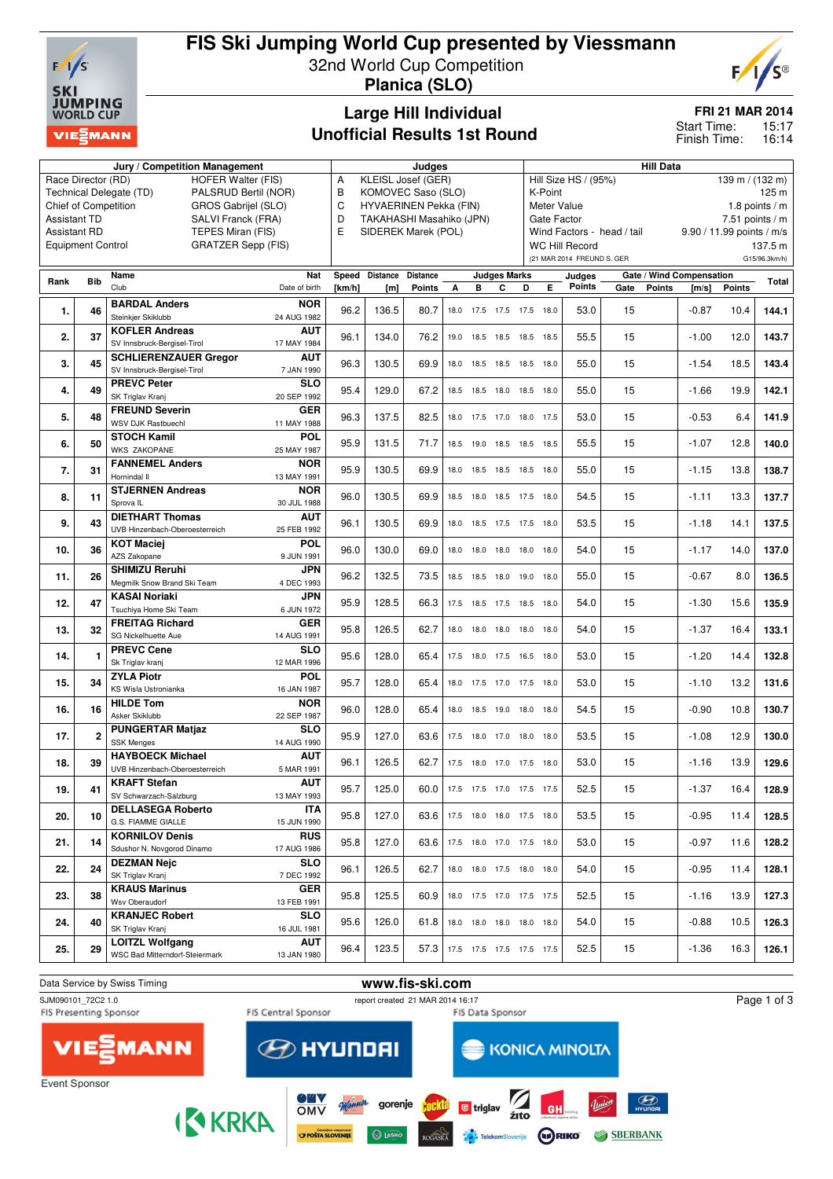

# **FIS Ski Jumping World Cup presented by Viessmann**

32nd World Cup Competition **Planica (SLO)**



### **Large Hill Individual Unofficial Results 1st Round**

**FRI 21 MAR 2014**

15:17 16:14 Start Time: Finish Time:

|                     |                             | Jury / Competition Management                                                     | Judges                             |                     |                 |      |           |                     |                                                           | <b>Hill Data</b>                |                            |                            |                          |                           |               |  |
|---------------------|-----------------------------|-----------------------------------------------------------------------------------|------------------------------------|---------------------|-----------------|------|-----------|---------------------|-----------------------------------------------------------|---------------------------------|----------------------------|----------------------------|--------------------------|---------------------------|---------------|--|
|                     | Race Director (RD)          | <b>HOFER Walter (FIS)</b>                                                         | KLEISL Josef (GER)<br>A            |                     |                 |      |           |                     | Hill Size HS / (95%)<br>$139 \text{ m} / (132 \text{ m})$ |                                 |                            |                            |                          |                           |               |  |
|                     |                             | Technical Delegate (TD)<br>PALSRUD Bertil (NOR)                                   | B<br>KOMOVEC Saso (SLO)            |                     |                 |      |           |                     |                                                           | 125 m<br>K-Point                |                            |                            |                          |                           |               |  |
|                     | <b>Chief of Competition</b> | GROS Gabrijel (SLO)                                                               | C<br><b>HYVAERINEN Pekka (FIN)</b> |                     |                 |      |           |                     |                                                           | Meter Value<br>1.8 points $/m$  |                            |                            |                          |                           |               |  |
| <b>Assistant TD</b> |                             | SALVI Franck (FRA)                                                                | D<br>TAKAHASHI Masahiko (JPN)      |                     |                 |      |           |                     |                                                           | Gate Factor<br>7.51 points $/m$ |                            |                            |                          |                           |               |  |
| <b>Assistant RD</b> |                             | TEPES Miran (FIS)                                                                 | E                                  | SIDEREK Marek (POL) |                 |      |           |                     |                                                           |                                 |                            | Wind Factors - head / tail |                          | 9.90 / 11.99 points / m/s |               |  |
|                     | <b>Equipment Control</b>    | <b>GRATZER Sepp (FIS)</b>                                                         |                                    |                     |                 |      |           |                     |                                                           |                                 | <b>WC Hill Record</b>      |                            |                          |                           | 137.5 m       |  |
|                     |                             |                                                                                   |                                    |                     |                 |      |           |                     |                                                           |                                 | (21 MAR 2014 FREUND S. GER |                            |                          |                           | G15/96.3km/h) |  |
| Rank                | <b>Bib</b>                  | Name<br>Nat                                                                       | Speed                              | <b>Distance</b>     | <b>Distance</b> |      |           | <b>Judges Marks</b> |                                                           |                                 | Judges                     |                            | Gate / Wind Compensation |                           | Total         |  |
|                     |                             | Club<br>Date of birth                                                             | [km/h]                             | [m]                 | <b>Points</b>   | A    | в         | C                   | D                                                         | Е                               | <b>Points</b>              | Gate<br><b>Points</b>      | [m/s]                    | <b>Points</b>             |               |  |
| 1.                  | 46                          | <b>BARDAL Anders</b><br><b>NOR</b><br>Steinkjer Skiklubb<br>24 AUG 1982           | 96.2                               | 136.5               | 80.7            | 18.0 |           |                     | 17.5 17.5 17.5 18.0                                       |                                 | 53.0                       | 15                         | $-0.87$                  | 10.4                      | 144.1         |  |
| 2.                  | 37                          | <b>KOFLER Andreas</b><br><b>AUT</b><br>SV Innsbruck-Bergisel-Tirol<br>17 MAY 1984 | 96.1                               | 134.0               | 76.2            | 19.0 |           |                     | 18.5 18.5 18.5 18.5                                       |                                 | 55.5                       | 15                         | $-1.00$                  | 12.0                      | 143.7         |  |
|                     |                             | <b>SCHLIERENZAUER Gregor</b><br>AUT                                               |                                    |                     |                 |      |           |                     |                                                           |                                 |                            |                            |                          |                           |               |  |
| 3.                  | 45                          | SV Innsbruck-Bergisel-Tirol<br>7 JAN 1990                                         | 96.3                               | 130.5               | 69.9            |      |           |                     | 18.0 18.5 18.5 18.5 18.0                                  |                                 | 55.0                       | 15                         | $-1.54$                  | 18.5                      | 143.4         |  |
|                     |                             | <b>PREVC Peter</b><br><b>SLO</b>                                                  |                                    |                     |                 |      |           |                     |                                                           |                                 |                            |                            |                          |                           |               |  |
| 4.                  | 49                          | SK Triglav Kranj<br>20 SEP 1992                                                   | 95.4                               | 129.0               | 67.2            |      |           |                     | 18.5 18.5 18.0 18.5 18.0                                  |                                 | 55.0                       | 15                         | $-1.66$                  | 19.9                      | 142.1         |  |
|                     |                             | <b>FREUND Severin</b><br><b>GER</b>                                               |                                    |                     |                 |      |           |                     |                                                           |                                 |                            |                            |                          |                           |               |  |
| 5.                  | 48                          | WSV DJK Rastbuechl<br>11 MAY 1988                                                 | 96.3                               | 137.5               | 82.5            | 18.0 |           |                     | 17.5 17.0 18.0 17.5                                       |                                 | 53.0                       | 15                         | $-0.53$                  | 6.4                       | 141.9         |  |
|                     |                             | <b>STOCH Kamil</b><br><b>POL</b>                                                  |                                    |                     |                 |      |           |                     |                                                           |                                 |                            |                            |                          |                           |               |  |
| 6.                  | 50                          | <b>WKS ZAKOPANE</b><br>25 MAY 1987                                                | 95.9                               | 131.5               | 71.7            | 18.5 | 19.0      |                     | 18.5 18.5 18.5                                            |                                 | 55.5                       | 15                         | $-1.07$                  | 12.8                      | 140.0         |  |
|                     |                             | <b>FANNEMEL Anders</b><br><b>NOR</b>                                              |                                    |                     |                 |      |           |                     |                                                           |                                 |                            |                            |                          |                           |               |  |
| 7.                  | 31                          | Hornindal II<br>13 MAY 1991                                                       | 95.9                               | 130.5               | 69.9            |      |           |                     | 18.0 18.5 18.5 18.5 18.0                                  |                                 | 55.0                       | 15                         | $-1.15$                  | 13.8                      | 138.7         |  |
|                     |                             | <b>STJERNEN Andreas</b><br><b>NOR</b>                                             |                                    |                     |                 |      |           |                     |                                                           |                                 |                            |                            |                          |                           |               |  |
| 8.                  | 11                          | Sprova <sub>IL</sub><br>30 JUL 1988                                               | 96.0                               | 130.5               | 69.9            |      |           |                     | 18.5 18.0 18.5 17.5 18.0                                  |                                 | 54.5                       | 15                         | $-1.11$                  | 13.3                      | 137.7         |  |
|                     |                             | <b>DIETHART Thomas</b><br>AUT                                                     |                                    |                     |                 |      |           |                     |                                                           |                                 |                            |                            |                          |                           |               |  |
| 9.                  | 43                          | UVB Hinzenbach-Oberoesterreich<br>25 FEB 1992                                     | 96.1                               | 130.5               | 69.9            |      |           |                     | 18.0 18.5 17.5 17.5 18.0                                  |                                 | 53.5                       | 15                         | $-1.18$                  | 14.1                      | 137.5         |  |
|                     |                             | <b>KOT Maciej</b><br><b>POL</b>                                                   |                                    |                     |                 |      |           |                     |                                                           |                                 |                            |                            |                          |                           |               |  |
| 10.                 | 36                          | AZS Zakopane<br>9 JUN 1991                                                        | 96.0                               | 130.0               | 69.0            |      |           |                     | 18.0 18.0 18.0 18.0 18.0                                  |                                 | 54.0                       | 15                         | $-1.17$                  | 14.0                      | 137.0         |  |
|                     |                             | <b>SHIMIZU Reruhi</b><br><b>JPN</b>                                               |                                    |                     |                 |      |           |                     |                                                           |                                 |                            |                            |                          |                           |               |  |
| 11.                 | 26                          | Megmilk Snow Brand Ski Team<br>4 DEC 1993                                         | 96.2                               | 132.5               | 73.5            |      | 18.5 18.5 |                     | 18.0 19.0 18.0                                            |                                 | 55.0                       | 15                         | $-0.67$                  | 8.0                       | 136.5         |  |
|                     |                             | <b>JPN</b><br><b>KASAI Noriaki</b>                                                |                                    |                     |                 |      |           |                     |                                                           |                                 |                            |                            |                          |                           |               |  |
| 12.                 | 47                          | Tsuchiya Home Ski Team<br>6 JUN 1972                                              | 95.9                               | 128.5               | 66.3            |      |           |                     | 17.5 18.5 17.5 18.5 18.0                                  |                                 | 54.0                       | 15                         | $-1.30$                  | 15.6                      | 135.9         |  |
|                     |                             | <b>FREITAG Richard</b><br><b>GER</b>                                              |                                    |                     |                 |      |           |                     |                                                           |                                 |                            |                            |                          |                           |               |  |
| 13.                 | 32                          | SG Nickelhuette Aue<br>14 AUG 1991                                                | 95.8                               | 126.5               | 62.7            | 18.0 |           |                     | 18.0 18.0 18.0 18.0                                       |                                 | 54.0                       | 15                         | $-1.37$                  | 16.4                      | 133.1         |  |
|                     |                             | <b>PREVC Cene</b><br><b>SLO</b>                                                   |                                    |                     |                 |      |           |                     |                                                           |                                 |                            |                            |                          |                           |               |  |
| 14.                 | 1                           | Sk Triglav kranj<br>12 MAR 1996                                                   | 95.6                               | 128.0               | 65.4            |      |           |                     | 17.5 18.0 17.5 16.5 18.0                                  |                                 | 53.0                       | 15                         | $-1.20$                  | 14.4                      | 132.8         |  |
|                     |                             | <b>ZYLA Piotr</b><br><b>POL</b>                                                   |                                    |                     |                 |      |           |                     |                                                           |                                 |                            |                            |                          |                           |               |  |
| 15.                 | 34                          | <b>KS Wisla Ustronianka</b><br>16 JAN 1987                                        | 95.7                               | 128.0               | 65.4            |      |           |                     | 18.0 17.5 17.0 17.5 18.0                                  |                                 | 53.0                       | 15                         | $-1.10$                  | 13.2                      | 131.6         |  |
|                     |                             | <b>HILDE Tom</b><br><b>NOR</b>                                                    |                                    |                     |                 |      |           |                     |                                                           |                                 |                            |                            |                          |                           |               |  |
| 16.                 | 16                          | Asker Skiklubb<br>22 SEP 1987                                                     | 96.0                               | 128.0               | 65.4            |      |           |                     | 18.0  18.5  19.0  18.0  18.0                              |                                 | 54.5                       | 15                         | $-0.90$                  | 10.8                      | 130.7         |  |
|                     |                             | <b>PUNGERTAR Matjaz</b><br><b>SLO</b>                                             |                                    |                     |                 |      |           |                     |                                                           |                                 |                            |                            |                          |                           |               |  |
| 17.                 | 2                           | <b>SSK Menges</b><br>14 AUG 1990                                                  | 95.9                               | 127.0               | 63.6            | 17.5 |           |                     | 18.0 17.0 18.0 18.0                                       |                                 | 53.5                       | 15                         | $-1.08$                  | 12.9                      | 130.0         |  |
|                     |                             | <b>AUT</b><br><b>HAYBOECK Michael</b>                                             |                                    |                     |                 |      |           |                     |                                                           |                                 |                            |                            |                          |                           |               |  |
| 18.                 | 39                          | UVB Hinzenbach-Oberoesterreich<br>5 MAR 1991                                      | 96.1                               | 126.5               | 62.7            |      |           |                     | 17.5 18.0 17.0 17.5 18.0                                  |                                 | 53.0                       | 15                         | $-1.16$                  | 13.9                      | 129.6         |  |
|                     |                             | <b>KRAFT Stefan</b><br><b>AUT</b>                                                 |                                    |                     |                 |      |           |                     |                                                           |                                 |                            |                            |                          |                           |               |  |
| 19.                 | 41                          | SV Schwarzach-Salzburg<br>13 MAY 1993                                             | 95.7                               | 125.0               | 60.0            |      |           |                     | 17.5 17.5 17.0 17.5 17.5                                  |                                 | 52.5                       | 15                         | $-1.37$                  | 16.4                      | 128.9         |  |
|                     |                             | <b>DELLASEGA Roberto</b><br><b>ITA</b>                                            |                                    |                     |                 |      |           |                     |                                                           |                                 |                            |                            |                          |                           |               |  |
| 20.                 | 10                          | G.S. FIAMME GIALLE<br>15 JUN 1990                                                 | 95.8                               | 127.0               | 63.6            |      |           |                     | 17.5 18.0 18.0 17.5 18.0                                  |                                 | 53.5                       | 15                         | $-0.95$                  | 11.4                      | 128.5         |  |
|                     |                             | <b>KORNILOV Denis</b><br><b>RUS</b>                                               |                                    |                     |                 |      |           |                     |                                                           |                                 |                            |                            |                          |                           |               |  |
| 21.                 | 14                          | Sdushor N. Novgorod Dinamo<br>17 AUG 1986                                         | 95.8                               | 127.0               | 63.6            |      |           |                     | 17.5 18.0 17.0 17.5 18.0                                  |                                 | 53.0                       | 15                         | $-0.97$                  | 11.6                      | 128.2         |  |
|                     |                             | <b>DEZMAN Nejc</b><br>SLO                                                         |                                    |                     |                 |      |           |                     |                                                           |                                 |                            |                            |                          |                           |               |  |
| 22.                 | 24                          | SK Triglav Kranj<br>7 DEC 1992                                                    | 96.1                               | 126.5               | 62.7            |      |           |                     | 18.0 18.0 17.5 18.0 18.0                                  |                                 | 54.0                       | 15                         | $-0.95$                  | 11.4                      | 128.1         |  |
|                     |                             | <b>KRAUS Marinus</b><br><b>GER</b>                                                |                                    |                     |                 |      |           |                     |                                                           |                                 |                            |                            |                          |                           |               |  |
| 23.                 | 38                          | Wsv Oberaudorf<br>13 FEB 1991                                                     | 95.8                               | 125.5               | 60.9            |      |           |                     | 18.0 17.5 17.0 17.5 17.5                                  |                                 | 52.5                       | 15                         | $-1.16$                  | 13.9                      | 127.3         |  |
|                     | 40                          | <b>KRANJEC Robert</b><br><b>SLO</b>                                               |                                    |                     |                 |      |           |                     |                                                           |                                 |                            |                            |                          |                           |               |  |
| 24.                 |                             | SK Triglav Kranj<br>16 JUL 1981                                                   | 95.6                               | 126.0               | 61.8            |      |           |                     | 18.0 18.0 18.0 18.0 18.0                                  |                                 | 54.0                       | 15                         | $-0.88$                  | 10.5                      | 126.3         |  |
|                     |                             | <b>LOITZL Wolfgang</b><br>AUT                                                     | 96.4                               | 123.5               |                 |      |           |                     |                                                           |                                 |                            |                            | $-1.36$                  |                           |               |  |
| 25.                 | 29                          | <b>WSC Bad Mitterndorf-Steiermark</b><br>13 JAN 1980                              |                                    |                     | 57.3            |      |           |                     | 17.5 17.5 17.5 17.5 17.5                                  |                                 | 52.5                       | 15                         |                          | 16.3                      | 126.1         |  |
|                     |                             |                                                                                   |                                    |                     |                 |      |           |                     |                                                           |                                 |                            |                            |                          |                           |               |  |

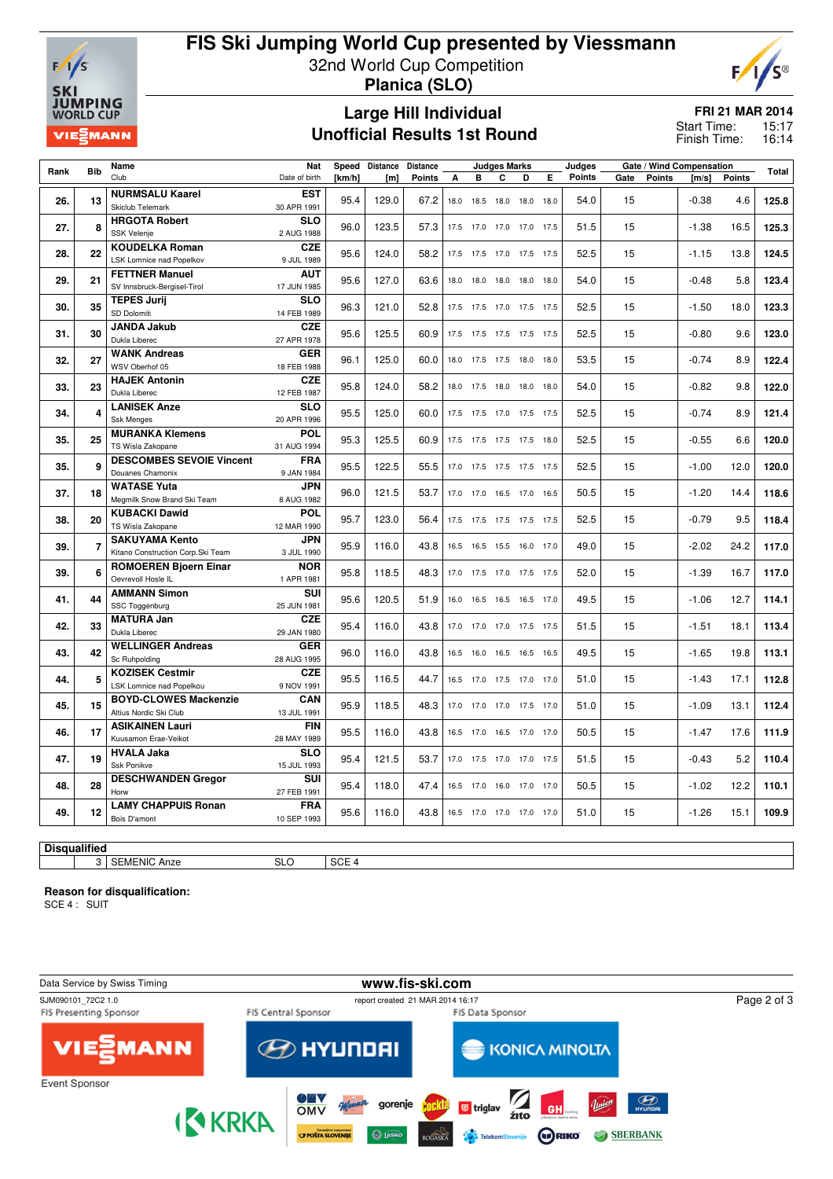

### **FIS Ski Jumping World Cup presented by Viessmann** 32nd World Cup Competition

**Planica (SLO)**

#### **Large Hill Individual Unofficial Results 1st Round**

**FRI 21 MAR 2014**

 $F/I$ 

**S®** 

15:17 16:14 Start Time: Finish Time:

| Rank                | <b>Bib</b> | Name                                                        | Nat                       |        | Speed Distance   | <b>Distance</b> |      |                              | Judges Marks             |   | Judges | Gate / Wind Compensation |      |        |         | Total         |       |
|---------------------|------------|-------------------------------------------------------------|---------------------------|--------|------------------|-----------------|------|------------------------------|--------------------------|---|--------|--------------------------|------|--------|---------|---------------|-------|
|                     |            | Club                                                        | Date of birth             | [km/h] | [ <sub>m</sub> ] | <b>Points</b>   | A    | в                            | C                        | D | Е      | Points                   | Gate | Points | [m/s]   | <b>Points</b> |       |
| 26.                 | 13         | <b>NURMSALU Kaarel</b><br>Skiclub Telemark                  | <b>EST</b><br>30 APR 1991 | 95.4   | 129.0            | 67.2            | 18.0 | 18.5                         | 18.0 18.0 18.0           |   |        | 54.0                     | 15   |        | $-0.38$ | 4.6           | 125.8 |
| 27.                 | 8          | <b>HRGOTA Robert</b><br><b>SSK Velenje</b>                  | <b>SLO</b><br>2 AUG 1988  | 96.0   | 123.5            | 57.3            |      | 17.5 17.0                    | 17.0 17.0 17.5           |   |        | 51.5                     | 15   |        | $-1.38$ | 16.5          | 125.3 |
|                     |            | <b>KOUDELKA Roman</b>                                       | <b>CZE</b>                |        |                  |                 |      |                              |                          |   |        |                          |      |        |         |               |       |
| 28.                 | 22         | <b>LSK Lomnice nad Popelkov</b>                             | 9 JUL 1989                | 95.6   | 124.0            | 58.2            |      | 17.5 17.5                    | 17.0 17.5 17.5           |   |        | 52.5                     | 15   |        | $-1.15$ | 13.8          | 124.5 |
| 29.                 | 21         | <b>FETTNER Manuel</b><br>SV Innsbruck-Bergisel-Tirol        | <b>AUT</b><br>17 JUN 1985 | 95.6   | 127.0            | 63.6            |      | 18.0 18.0                    | 18.0 18.0 18.0           |   |        | 54.0                     | 15   |        | $-0.48$ | 5.8           | 123.4 |
| 30.                 | 35         | <b>TEPES Jurij</b><br>SD Dolomiti                           | <b>SLO</b><br>14 FEB 1989 | 96.3   | 121.0            | 52.8            |      | 17.5 17.5 17.0 17.5 17.5     |                          |   |        | 52.5                     | 15   |        | $-1.50$ | 18.0          | 123.3 |
| 31.                 | 30         | <b>JANDA Jakub</b><br>Dukla Liberec                         | <b>CZE</b><br>27 APR 1978 | 95.6   | 125.5            | 60.9            |      | 17.5 17.5 17.5 17.5 17.5     |                          |   |        | 52.5                     | 15   |        | $-0.80$ | 9.6           | 123.0 |
| 32.                 | 27         | <b>WANK Andreas</b>                                         | <b>GER</b>                | 96.1   | 125.0            | 60.0            |      | 18.0 17.5 17.5 18.0 18.0     |                          |   |        | 53.5                     | 15   |        | $-0.74$ | 8.9           | 122.4 |
|                     |            | WSV Oberhof 05                                              | 18 FEB 1988               |        |                  |                 |      |                              |                          |   |        |                          |      |        |         |               |       |
| 33.                 | 23         | <b>HAJEK Antonin</b><br>Dukla Liberec                       | <b>CZE</b><br>12 FEB 1987 | 95.8   | 124.0            | 58.2            |      | 18.0 17.5 18.0 18.0 18.0     |                          |   |        | 54.0                     | 15   |        | $-0.82$ | 9.8           | 122.0 |
| 34.                 | 4          | <b>LANISEK Anze</b>                                         | <b>SLO</b>                | 95.5   | 125.0            | 60.0            |      | 17.5 17.5 17.0 17.5 17.5     |                          |   |        | 52.5                     | 15   |        | $-0.74$ | 8.9           | 121.4 |
|                     |            | <b>Ssk Menges</b>                                           | 20 APR 1996               |        |                  |                 |      |                              |                          |   |        |                          |      |        |         |               |       |
| 35.                 | 25         | <b>MURANKA Klemens</b><br>TS Wisla Zakopane                 | <b>POL</b><br>31 AUG 1994 | 95.3   | 125.5            | 60.9            |      | 17.5 17.5 17.5 17.5 18.0     |                          |   |        | 52.5                     | 15   |        | $-0.55$ | 6.6           | 120.0 |
| 35.                 | 9          | <b>DESCOMBES SEVOIE Vincent</b>                             | <b>FRA</b>                | 95.5   | 122.5            | 55.5            |      | 17.0 17.5 17.5 17.5 17.5     |                          |   |        | 52.5                     | 15   |        | $-1.00$ | 12.0          | 120.0 |
| 37.                 | 18         | Douanes Chamonix<br><b>WATASE Yuta</b>                      | 9 JAN 1984<br><b>JPN</b>  | 96.0   | 121.5            | 53.7            |      | 17.0 17.0                    | 16.5 17.0 16.5           |   |        | 50.5                     | 15   |        | $-1.20$ | 14.4          | 118.6 |
|                     |            | Megmilk Snow Brand Ski Team                                 | 8 AUG 1982                |        |                  |                 |      |                              |                          |   |        |                          |      |        |         |               |       |
| 38.                 | 20         | <b>KUBACKI Dawid</b><br>TS Wisla Zakopane                   | POL<br>12 MAR 1990        | 95.7   | 123.0            | 56.4            |      | 17.5 17.5 17.5 17.5 17.5     |                          |   |        | 52.5                     | 15   |        | $-0.79$ | 9.5           | 118.4 |
| 39.                 | 7          | <b>SAKUYAMA Kento</b><br>Kitano Construction Corp. Ski Team | <b>JPN</b><br>3 JUL 1990  | 95.9   | 116.0            | 43.8            |      | 16.5 16.5 15.5 16.0 17.0     |                          |   |        | 49.0                     | 15   |        | $-2.02$ | 24.2          | 117.0 |
|                     |            | <b>ROMOEREN Bjoern Einar</b>                                | <b>NOR</b>                |        |                  |                 |      |                              |                          |   |        |                          |      |        |         |               |       |
| 39.                 | 6          | Oevrevoll Hosle IL                                          | 1 APR 1981                | 95.8   | 118.5            | 48.3            |      | 17.0 17.5 17.0 17.5 17.5     |                          |   |        | 52.0                     | 15   |        | $-1.39$ | 16.7          | 117.0 |
|                     |            | <b>AMMANN Simon</b>                                         | SUI                       |        |                  |                 |      |                              |                          |   |        |                          |      |        |         |               |       |
| 41.                 | 44         | SSC Toggenburg                                              | 25 JUN 1981               | 95.6   | 120.5            | 51.9            |      |                              | 16.0 16.5 16.5 16.5 17.0 |   |        | 49.5                     | 15   |        | $-1.06$ | 12.7          | 114.1 |
|                     |            | <b>MATURA Jan</b>                                           | <b>CZE</b>                |        |                  |                 |      |                              |                          |   |        |                          |      |        |         |               |       |
| 42.                 | 33         | Dukla Liberec                                               | 29 JAN 1980               | 95.4   | 116.0            | 43.8            |      | 17.0 17.0 17.0 17.5 17.5     |                          |   |        | 51.5                     | 15   |        | $-1.51$ | 18.1          | 113.4 |
| 43.                 | 42         | <b>WELLINGER Andreas</b><br>Sc Ruhpolding                   | <b>GER</b><br>28 AUG 1995 | 96.0   | 116.0            | 43.8            |      | 16.5 16.0 16.5 16.5 16.5     |                          |   |        | 49.5                     | 15   |        | $-1.65$ | 19.8          | 113.1 |
|                     |            | <b>KOZISEK Cestmir</b>                                      | <b>CZE</b>                |        |                  |                 |      |                              |                          |   |        |                          |      |        |         |               |       |
| 44.                 | 5          | LSK Lomnice nad Popelkou                                    | 9 NOV 1991                | 95.5   | 116.5            | 44.7            |      | 16.5 17.0 17.5 17.0 17.0     |                          |   |        | 51.0                     | 15   |        | $-1.43$ | 17.1          | 112.8 |
| 45.                 | 15         | <b>BOYD-CLOWES Mackenzie</b><br>Altius Nordic Ski Club      | CAN<br>13 JUL 1991        | 95.9   | 118.5            | 48.3            |      | 17.0 17.0                    | 17.0 17.5 17.0           |   |        | 51.0                     | 15   |        | $-1.09$ | 13.1          | 112.4 |
|                     |            | <b>ASIKAINEN Lauri</b>                                      | <b>FIN</b>                |        |                  |                 |      |                              |                          |   |        |                          |      |        |         |               |       |
| 46.                 | 17         | Kuusamon Erae-Veikot                                        | 28 MAY 1989               | 95.5   | 116.0            | 43.8            |      | 16.5 17.0                    | 16.5 17.0 17.0           |   |        | 50.5                     | 15   |        | $-1.47$ | 17.6          | 111.9 |
| 47.                 | 19         | <b>HVALA Jaka</b><br>Ssk Ponikve                            | <b>SLO</b><br>15 JUL 1993 | 95.4   | 121.5            | 53.7            |      | 17.0  17.5  17.0  17.0  17.5 |                          |   |        | 51.5                     | 15   |        | $-0.43$ | 5.2           | 110.4 |
| 48.                 | 28         | <b>DESCHWANDEN Gregor</b>                                   | SUI                       | 95.4   | 118.0            | 47.4            |      | 16.5 17.0 16.0 17.0 17.0     |                          |   |        | 50.5                     | 15   |        | $-1.02$ | 12.2          | 110.1 |
|                     |            | Horw<br><b>LAMY CHAPPUIS Ronan</b>                          | 27 FEB 1991<br><b>FRA</b> |        |                  |                 |      |                              |                          |   |        |                          |      |        |         |               |       |
| 49.                 | 12         | Bois D'amont                                                | 10 SEP 1993               | 95.6   | 116.0            | 43.8            |      | 16.5 17.0 17.0 17.0 17.0     |                          |   |        | 51.0                     | 15   |        | $-1.26$ | 15.1          | 109.9 |
|                     |            |                                                             |                           |        |                  |                 |      |                              |                          |   |        |                          |      |        |         |               |       |
| <b>Disqualified</b> |            |                                                             |                           |        |                  |                 |      |                              |                          |   |        |                          |      |        |         |               |       |

# 3 SEMENIC Anze SLO SCE 4

**Reason for disqualification:**

SCE 4 : SUIT